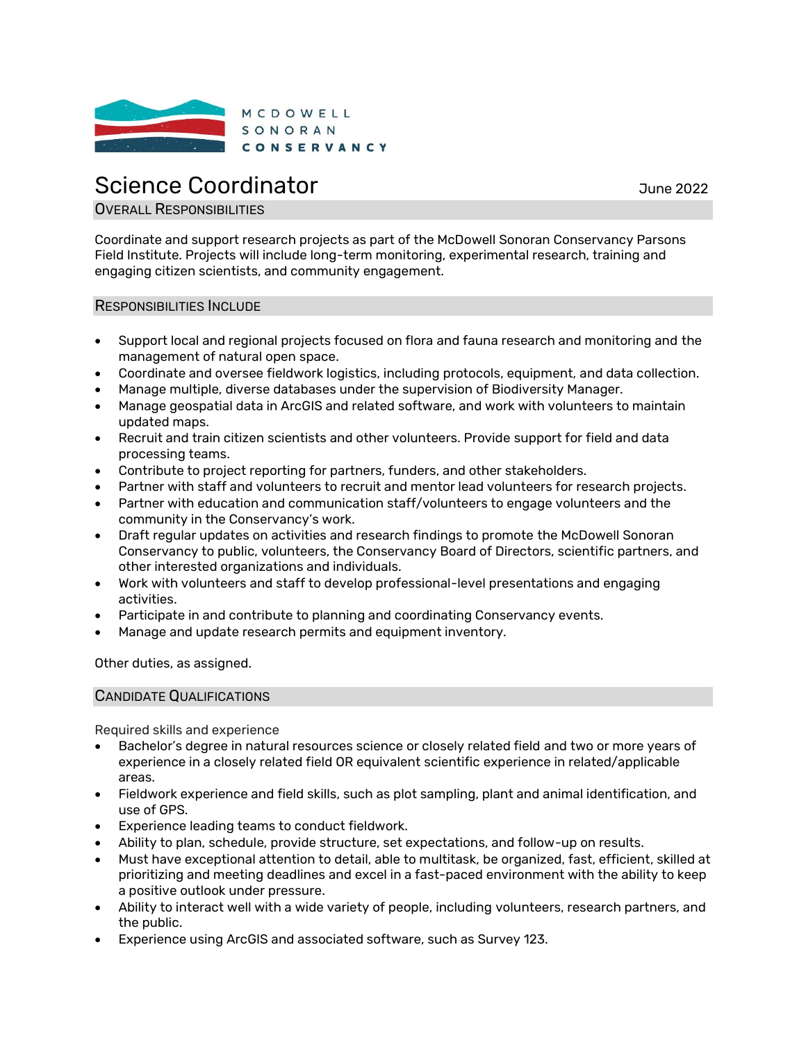

# Science Coordinator **Science** Coordinator

# **OVERALL RESPONSIBILITIES**

Coordinate and support research projects as part of the McDowell Sonoran Conservancy Parsons Field Institute. Projects will include long-term monitoring, experimental research, training and engaging citizen scientists, and community engagement.

#### RESPONSIBILITIES INCLUDE

- Support local and regional projects focused on flora and fauna research and monitoring and the management of natural open space.
- Coordinate and oversee fieldwork logistics, including protocols, equipment, and data collection.
- Manage multiple, diverse databases under the supervision of Biodiversity Manager.
- Manage geospatial data in ArcGIS and related software, and work with volunteers to maintain updated maps.
- Recruit and train citizen scientists and other volunteers. Provide support for field and data processing teams.
- Contribute to project reporting for partners, funders, and other stakeholders.
- Partner with staff and volunteers to recruit and mentor lead volunteers for research projects.
- Partner with education and communication staff/volunteers to engage volunteers and the community in the Conservancy's work.
- Draft regular updates on activities and research findings to promote the McDowell Sonoran Conservancy to public, volunteers, the Conservancy Board of Directors, scientific partners, and other interested organizations and individuals.
- Work with volunteers and staff to develop professional-level presentations and engaging activities.
- Participate in and contribute to planning and coordinating Conservancy events.
- Manage and update research permits and equipment inventory.

Other duties, as assigned.

#### CANDIDATE QUALIFICATIONS

Required skills and experience

- Bachelor's degree in natural resources science or closely related field and two or more years of experience in a closely related field OR equivalent scientific experience in related/applicable areas.
- Fieldwork experience and field skills, such as plot sampling, plant and animal identification, and use of GPS.
- Experience leading teams to conduct fieldwork.
- Ability to plan, schedule, provide structure, set expectations, and follow-up on results.
- Must have exceptional attention to detail, able to multitask, be organized, fast, efficient, skilled at prioritizing and meeting deadlines and excel in a fast-paced environment with the ability to keep a positive outlook under pressure.
- Ability to interact well with a wide variety of people, including volunteers, research partners, and the public.
- Experience using ArcGIS and associated software, such as Survey 123.